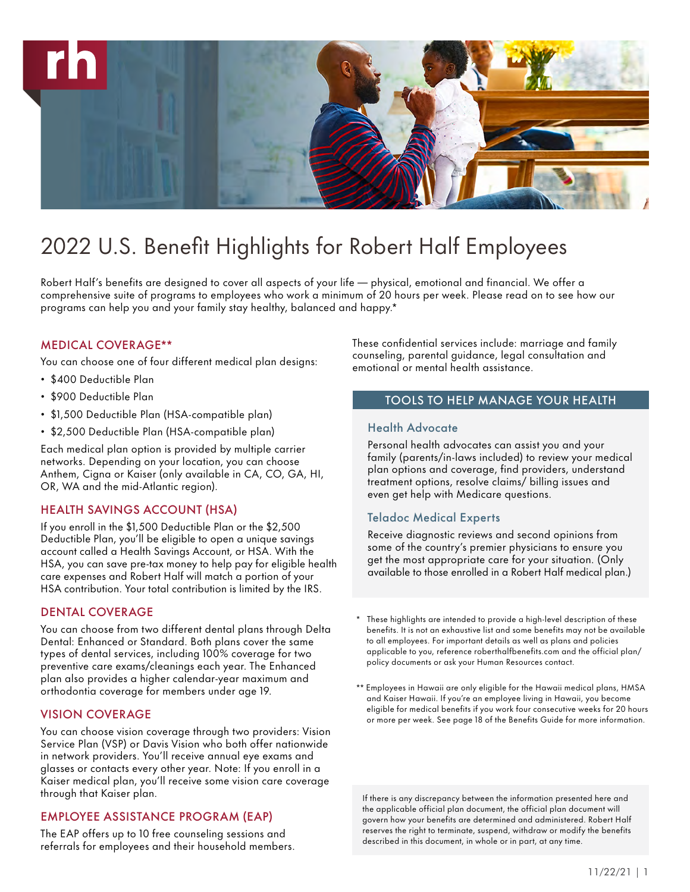

# 2022 U.S. Benefit Highlights for Robert Half Employees

Robert Half's benefits are designed to cover all aspects of your life — physical, emotional and financial. We offer a comprehensive suite of programs to employees who work a minimum of 20 hours per week. Please read on to see how our programs can help you and your family stay healthy, balanced and happy.\*

# MEDICAL COVERAGE\*\*

You can choose one of four different medical plan designs:

- \$400 Deductible Plan
- \$900 Deductible Plan
- \$1,500 Deductible Plan (HSA-compatible plan)
- \$2,500 Deductible Plan (HSA-compatible plan)

Each medical plan option is provided by multiple carrier networks. Depending on your location, you can choose Anthem, Cigna or Kaiser (only available in CA, CO, GA, HI, OR, WA and the mid-Atlantic region).

# HEALTH SAVINGS ACCOUNT (HSA)

If you enroll in the \$1,500 Deductible Plan or the \$2,500 Deductible Plan, you'll be eligible to open a unique savings account called a Health Savings Account, or HSA. With the HSA, you can save pre-tax money to help pay for eligible health care expenses and Robert Half will match a portion of your HSA contribution. Your total contribution is limited by the IRS.

# DENTAL COVERAGE

You can choose from two different dental plans through Delta Dental: Enhanced or Standard. Both plans cover the same types of dental services, including 100% coverage for two preventive care exams/cleanings each year. The Enhanced plan also provides a higher calendar-year maximum and orthodontia coverage for members under age 19.

#### VISION COVERAGE

You can choose vision coverage through two providers: Vision Service Plan (VSP) or Davis Vision who both offer nationwide in network providers. You'll receive annual eye exams and glasses or contacts every other year. Note: If you enroll in a Kaiser medical plan, you'll receive some vision care coverage through that Kaiser plan.

# EMPLOYEE ASSISTANCE PROGRAM (EAP)

The EAP offers up to 10 free counseling sessions and referrals for employees and their household members. These confidential services include: marriage and family counseling, parental guidance, legal consultation and emotional or mental health assistance.

# TOOLS TO HELP MANAGE YOUR HEALTH

#### Health Advocate

Personal health advocates can assist you and your family (parents/in-laws included) to review your medical plan options and coverage, find providers, understand treatment options, resolve claims/ billing issues and even get help with Medicare questions.

# Teladoc Medical Experts

Receive diagnostic reviews and second opinions from some of the country's premier physicians to ensure you get the most appropriate care for your situation. (Only available to those enrolled in a Robert Half medical plan.)

- These highlights are intended to provide a high-level description of these benefits. It is not an exhaustive list and some benefits may not be available to all employees. For important details as well as plans and policies applicable to you, reference roberthalfbenefits.com and the official plan/ policy documents or ask your Human Resources contact.
- \*\* Employees in Hawaii are only eligible for the Hawaii medical plans, HMSA and Kaiser Hawaii. If you're an employee living in Hawaii, you become eligible for medical benefits if you work four consecutive weeks for 20 hours or more per week. See page 18 of the Benefits Guide for more information.

If there is any discrepancy between the information presented here and the applicable official plan document, the official plan document will govern how your benefits are determined and administered. Robert Half reserves the right to terminate, suspend, withdraw or modify the benefits described in this document, in whole or in part, at any time.